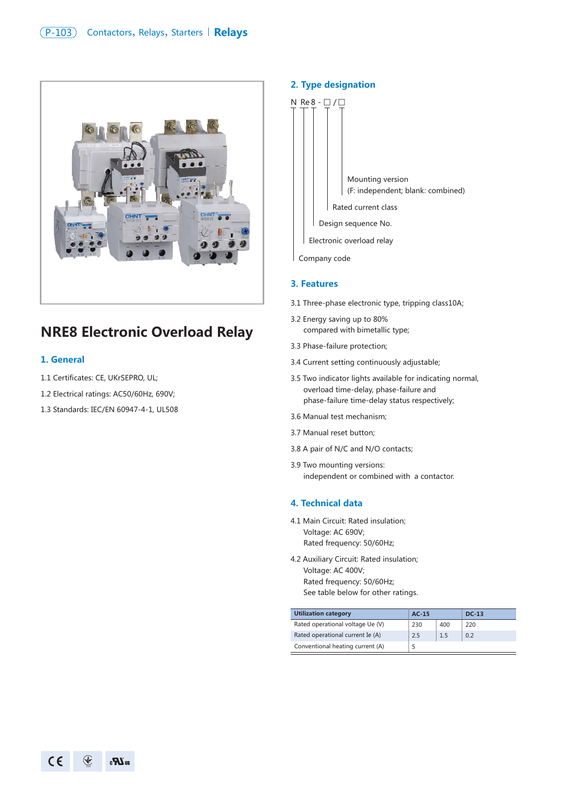

# **NRE8 Electronic Overload Relay**

#### **1. General**

- 1.1 Certificates: CE, UKrSEPRO, UL;
- 1.2 Electrical ratings: AC50/60Hz, 690V;
- 1.3 Standards: IEC/EN 60947-4-1, UL508

#### **2. Type designation**



Company code

#### **3. Features**

- 3.1 Three-phase electronic type, tripping class10A;
- 3.2 Energy saving up to 80% compared with bimetallic type;
- 3.3 Phase-failure protection;
- 3.4 Current setting continuously adjustable;
- 3.5 Two indicator lights available for indicating normal, overload time-delay, phase-failure and phase-failure time-delay status respectively;
- 3.6 Manual test mechanism;
- 3.7 Manual reset button;
- 3.8 A pair of N/C and N/O contacts;
- 3.9 Two mounting versions: independent or combined with a contactor.

#### **4. Technical data**

- 4.1 Main Circuit: Rated insulation; Voltage: AC 690V; Rated frequency: 50/60Hz;
- 4.2 Auxiliary Circuit: Rated insulation; Voltage: AC 400V; Rated frequency: 50/60Hz; See table below for other ratings.

| <b>Utilization category</b>      | $AC-15$ |     | <b>DC-13</b> |
|----------------------------------|---------|-----|--------------|
| Rated operational voltage Ue (V) | 230     | 400 | 220          |
| Rated operational current Ie (A) | 2.5     | 1.5 | 0.2          |
| Conventional heating current (A) |         |     |              |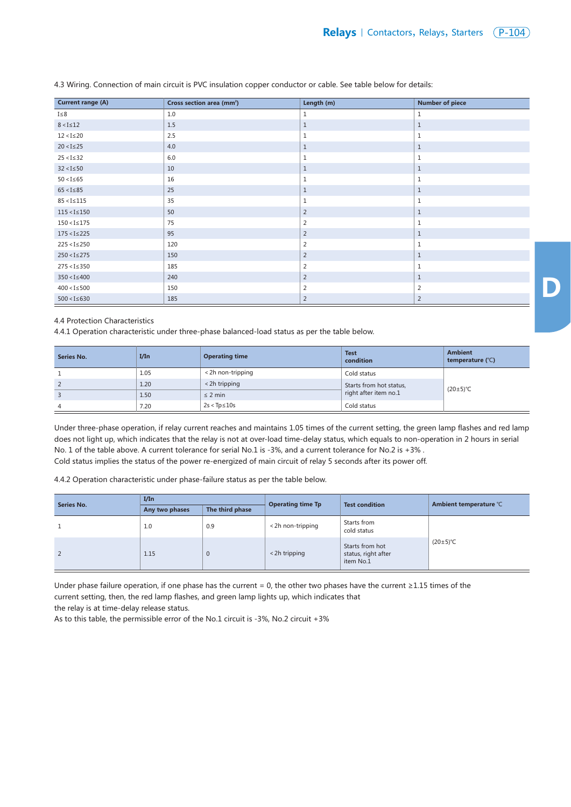| <b>Current range (A)</b> | Cross section area (mm <sup>2</sup> ) | Length (m)     | <b>Number of piece</b> |
|--------------------------|---------------------------------------|----------------|------------------------|
| $I \leq 8$               | 1.0                                   | 1              | 1                      |
| $8 < I \le 12$           | 1.5                                   | $\mathbf{1}$   | $\mathbf{1}$           |
| $12 < I \le 20$          | 2.5                                   | $1\,$          | $1\,$                  |
| $20 < I \le 25$          | 4.0                                   | $\mathbf{1}$   | $\mathbf{1}$           |
| $25 < I \le 32$          | 6.0                                   | 1              | 1                      |
| $32 < I \le 50$          | 10                                    | $\mathbf{1}$   | $\mathbf{1}$           |
| $50 < I \le 65$          | 16                                    | 1              | 1                      |
| $65 < I \le 85$          | 25                                    | $\mathbf{1}$   | $1\,$                  |
| $85 < I \le 115$         | 35                                    | $1\,$          | $\mathbf{1}$           |
| $115 < I \le 150$        | 50                                    | $\overline{2}$ | $1\,$                  |
| $150 < I \le 175$        | 75                                    | 2              | 1                      |
| $175 < I \le 225$        | 95                                    | $\overline{2}$ | $\mathbf{1}$           |
| $225 < I \le 250$        | 120                                   | 2              | 1                      |
| $250 < I \leq 275$       | 150                                   | 2              | $\mathbf{1}$           |
| $275 < I \leq 350$       | 185                                   | $\overline{2}$ | $1\,$                  |
| $350 < I \leq 400$       | 240                                   | 2              | $\mathbf{1}$           |
| $400 < I \le 500$        | 150                                   | $\overline{2}$ | $\overline{2}$         |
| $500 < I \leq 630$       | 185                                   | $\overline{2}$ | $\overline{2}$         |

4.3 Wiring. Connection of main circuit is PVC insulation copper conductor or cable. See table below for details:

## 4.4 Protection Characteristics

4.4.1 Operation characteristic under three-phase balanced-load status as per the table below.

| Series No.     | I/In | <b>Operating time</b> | <b>Test</b><br>condition | <b>Ambient</b><br>temperature (°C) |
|----------------|------|-----------------------|--------------------------|------------------------------------|
|                | 1.05 | < 2h non-tripping     | Cold status              |                                    |
| $\overline{2}$ | 1.20 | < 2h tripping         | Starts from hot status,  | $(20\pm5)$ °C                      |
| $\overline{3}$ | 1.50 | $\leq$ 2 min          | right after item no.1    |                                    |
| 4              | 7.20 | $2s < Tp \leq 10s$    | Cold status              |                                    |

Under three-phase operation, if relay current reaches and maintains 1.05 times of the current setting, the green lamp flashes and red lamp does not light up, which indicates that the relay is not at over-load time-delay status, which equals to non-operation in 2 hours in serial No. 1 of the table above. A current tolerance for serial No.1 is -3%, and a current tolerance for No.2 is +3% . Cold status implies the status of the power re-energized of main circuit of relay 5 seconds after its power off.

4.4.2 Operation characteristic under phase-failure status as per the table below.

| Series No. | I/In           |                 | <b>Operating time Tp</b> | <b>Test condition</b>                               | Ambient temperature °C |
|------------|----------------|-----------------|--------------------------|-----------------------------------------------------|------------------------|
|            | Any two phases | The third phase |                          |                                                     |                        |
|            | 1.0            | 0.9             | < 2h non-tripping        | Starts from<br>cold status                          |                        |
| 2          | 1.15           | $\Omega$        | < 2h tripping            | Starts from hot<br>status, right after<br>item No.1 | $(20\pm5)$ °C          |

Under phase failure operation, if one phase has the current = 0, the other two phases have the current ≥1.15 times of the current setting, then, the red lamp flashes, and green lamp lights up, which indicates that

the relay is at time-delay release status.

As to this table, the permissible error of the No.1 circuit is -3%, No.2 circuit +3%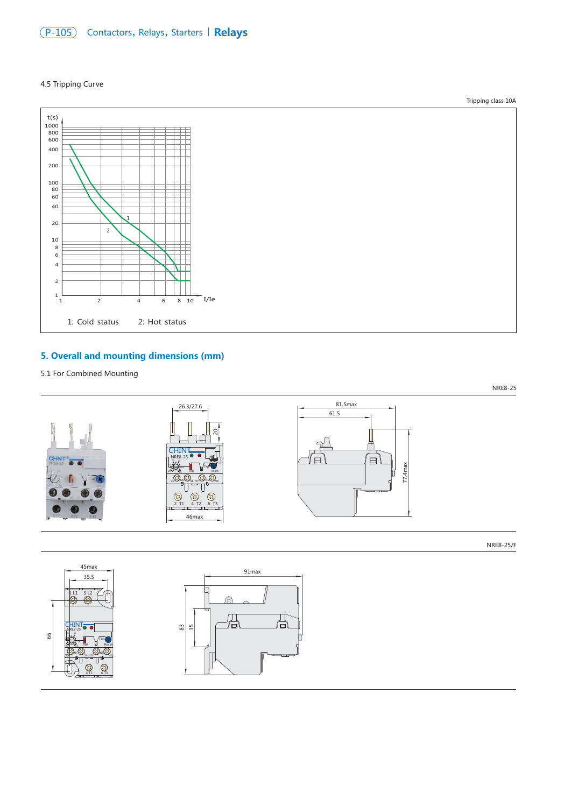

### 4.5 Tripping Curve



# **5. Overall and mounting dimensions (mm)**

5.1 For Combined Mounting



NRE8-25/F



Tripping class 10A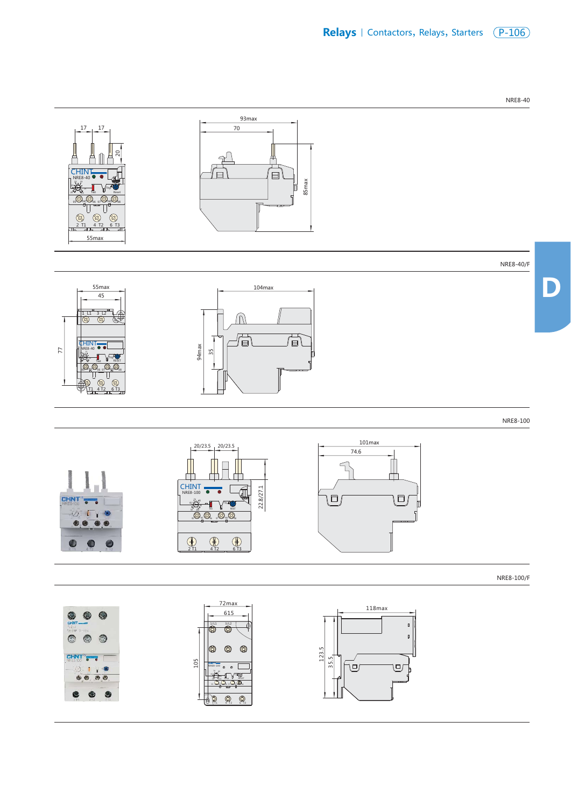

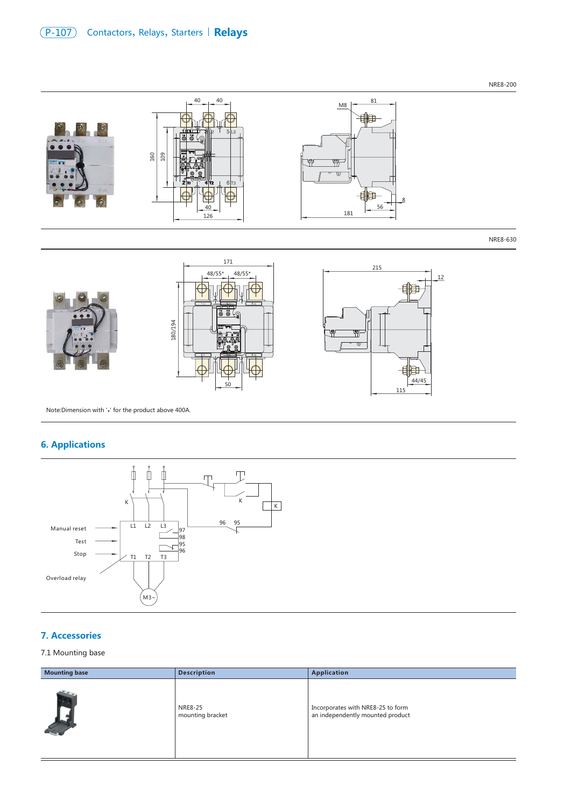# (P-107) Contactors, Relays, Starters | Relays

NRE8-200



Note: Dimension with  $'$ <sup>+</sup> for the product above 400A.

# **6. Applications**



## **7. Accessories**

### 7.1 Mounting base

| <b>Mounting base</b> | <b>Description</b>          | <b>Application</b>                                                    |
|----------------------|-----------------------------|-----------------------------------------------------------------------|
|                      | NRE8-25<br>mounting bracket | Incorporates with NRE8-25 to form<br>an independently mounted product |